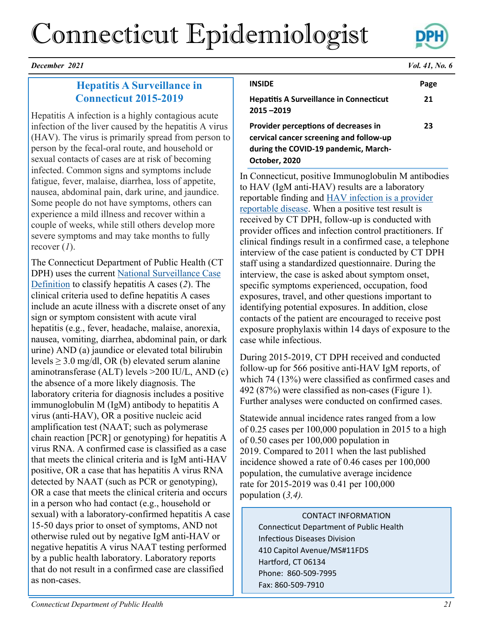# Connecticut Epidemiologist



*December 2021 Vol. 41, No. 6*

# **Hepatitis A Surveillance in Connecticut 2015-2019**

Hepatitis A infection is a highly contagious acute infection of the liver caused by the hepatitis A virus (HAV). The virus is primarily spread from person to person by the fecal-oral route, and household or sexual contacts of cases are at risk of becoming infected. Common signs and symptoms include fatigue, fever, malaise, diarrhea, loss of appetite, nausea, abdominal pain, dark urine, and jaundice. Some people do not have symptoms, others can experience a mild illness and recover within a couple of weeks, while still others develop more severe symptoms and may take months to fully recover (*1*).

The Connecticut Department of Public Health (CT DPH) uses the current National Surveillance Case [Definition](https://ndc.services.cdc.gov/conditions/hepatitis-a-acute/) to classify hepatitis A cases (*2*). The clinical criteria used to define hepatitis A cases include an acute illness with a discrete onset of any sign or symptom consistent with acute viral hepatitis (e.g., fever, headache, malaise, anorexia, nausea, vomiting, diarrhea, abdominal pain, or dark urine) AND (a) jaundice or elevated total bilirubin levels  $\geq 3.0$  mg/dl, OR (b) elevated serum alanine aminotransferase (ALT) levels >200 IU/L, AND (c) the absence of a more likely diagnosis. The laboratory criteria for diagnosis includes a positive immunoglobulin M (IgM) antibody to hepatitis A virus (anti-HAV), OR a positive nucleic acid amplification test (NAAT; such as polymerase chain reaction [PCR] or genotyping) for hepatitis A virus RNA. A confirmed case is classified as a case that meets the clinical criteria and is IgM anti-HAV positive, OR a case that has hepatitis A virus RNA detected by NAAT (such as PCR or genotyping), OR a case that meets the clinical criteria and occurs in a person who had contact (e.g., household or sexual) with a laboratory-confirmed hepatitis A case 15-50 days prior to onset of symptoms, AND not otherwise ruled out by negative IgM anti-HAV or negative hepatitis A virus NAAT testing performed by a public health laboratory. Laboratory reports that do not result in a confirmed case are classified as non-cases.

**INSIDE Page Hepatitis A Surveillance in Connecticut 21 Provider perceptions of decreases in 23**

**cervical cancer screening and follow-up during the COVID-19 pandemic, March-October, 2020**

**2015 –2019**

In Connecticut, positive Immunoglobulin M antibodies to HAV (IgM anti-HAV) results are a laboratory reportable finding and [HAV infection is a provider](https://portal.ct.gov/-/media/Departments-and-Agencies/DPH/dph/infectious_diseases/pdf_forms_/PD23_Form.pdf)  [reportable disease.](https://portal.ct.gov/-/media/Departments-and-Agencies/DPH/dph/infectious_diseases/pdf_forms_/PD23_Form.pdf) When a positive test result is received by CT DPH, follow-up is conducted with provider offices and infection control practitioners. If clinical findings result in a confirmed case, a telephone interview of the case patient is conducted by CT DPH staff using a standardized questionnaire. During the interview, the case is asked about symptom onset, specific symptoms experienced, occupation, food exposures, travel, and other questions important to identifying potential exposures. In addition, close contacts of the patient are encouraged to receive post exposure prophylaxis within 14 days of exposure to the case while infectious.

During 2015-2019, CT DPH received and conducted follow-up for 566 positive anti-HAV IgM reports, of which 74 (13%) were classified as confirmed cases and 492 (87%) were classified as non-cases (Figure 1). Further analyses were conducted on confirmed cases.

Statewide annual incidence rates ranged from a low of 0.25 cases per 100,000 population in 2015 to a high of 0.50 cases per 100,000 population in 2019. Compared to 2011 when the last published incidence showed a rate of 0.46 cases per 100,000 population, the cumulative average incidence rate for 2015-2019 was 0.41 per 100,000 population (*3,4).* 

### CONTACT INFORMATION

Connecticut Department of Public Health Infectious Diseases Division 410 Capitol Avenue/MS#11FDS Hartford, CT 06134 Phone: 860-509-7995 Fax: 860-509-7910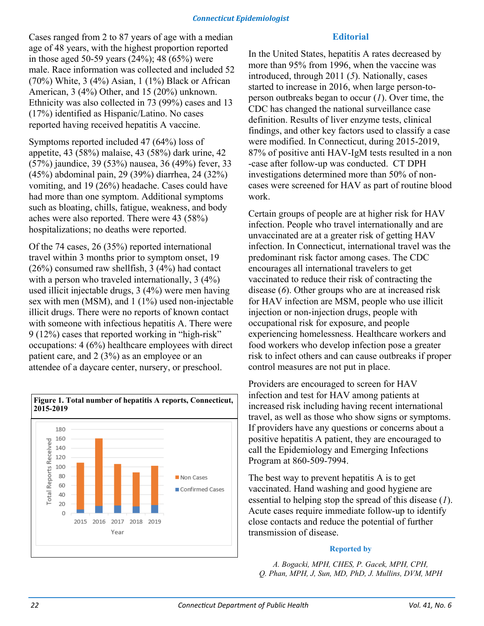Cases ranged from 2 to 87 years of age with a median age of 48 years, with the highest proportion reported in those aged 50-59 years (24%); 48 (65%) were male. Race information was collected and included 52 (70%) White, 3 (4%) Asian, 1 (1%) Black or African American, 3 (4%) Other, and 15 (20%) unknown. Ethnicity was also collected in 73 (99%) cases and 13 (17%) identified as Hispanic/Latino. No cases reported having received hepatitis A vaccine.

Symptoms reported included 47 (64%) loss of appetite, 43 (58%) malaise, 43 (58%) dark urine, 42 (57%) jaundice, 39 (53%) nausea, 36 (49%) fever, 33 (45%) abdominal pain, 29 (39%) diarrhea, 24 (32%) vomiting, and 19 (26%) headache. Cases could have had more than one symptom. Additional symptoms such as bloating, chills, fatigue, weakness, and body aches were also reported. There were 43 (58%) hospitalizations; no deaths were reported.

Of the 74 cases, 26 (35%) reported international travel within 3 months prior to symptom onset, 19 (26%) consumed raw shellfish, 3 (4%) had contact with a person who traveled internationally, 3 (4%) used illicit injectable drugs, 3 (4%) were men having sex with men (MSM), and 1 (1%) used non-injectable illicit drugs. There were no reports of known contact with someone with infectious hepatitis A. There were 9 (12%) cases that reported working in "high-risk" occupations: 4 (6%) healthcare employees with direct patient care, and 2 (3%) as an employee or an attendee of a daycare center, nursery, or preschool.



# **Editorial**

In the United States, hepatitis A rates decreased by more than 95% from 1996, when the vaccine was introduced, through 2011 (*5*). Nationally, cases started to increase in 2016, when large person-toperson outbreaks began to occur (*1*). Over time, the CDC has changed the national surveillance case definition. Results of liver enzyme tests, clinical findings, and other key factors used to classify a case were modified. In Connecticut, during 2015-2019, 87% of positive anti HAV-IgM tests resulted in a non -case after follow-up was conducted. CT DPH investigations determined more than 50% of noncases were screened for HAV as part of routine blood work.

Certain groups of people are at higher risk for HAV infection. People who travel internationally and are unvaccinated are at a greater risk of getting HAV infection. In Connecticut, international travel was the predominant risk factor among cases. The CDC encourages all international travelers to get vaccinated to reduce their risk of contracting the disease (*6*). Other groups who are at increased risk for HAV infection are MSM, people who use illicit injection or non-injection drugs, people with occupational risk for exposure, and people experiencing homelessness. Healthcare workers and food workers who develop infection pose a greater risk to infect others and can cause outbreaks if proper control measures are not put in place.

Providers are encouraged to screen for HAV infection and test for HAV among patients at increased risk including having recent international travel, as well as those who show signs or symptoms. If providers have any questions or concerns about a positive hepatitis A patient, they are encouraged to call the Epidemiology and Emerging Infections Program at 860-509-7994.

The best way to prevent hepatitis A is to get vaccinated. Hand washing and good hygiene are essential to helping stop the spread of this disease (*1*). Acute cases require immediate follow-up to identify close contacts and reduce the potential of further transmission of disease.

#### **Reported by**

*A. Bogacki, MPH, CHES, P. Gacek, MPH, CPH, Q. Phan, MPH, J, Sun, MD, PhD, J. Mullins, DVM, MPH*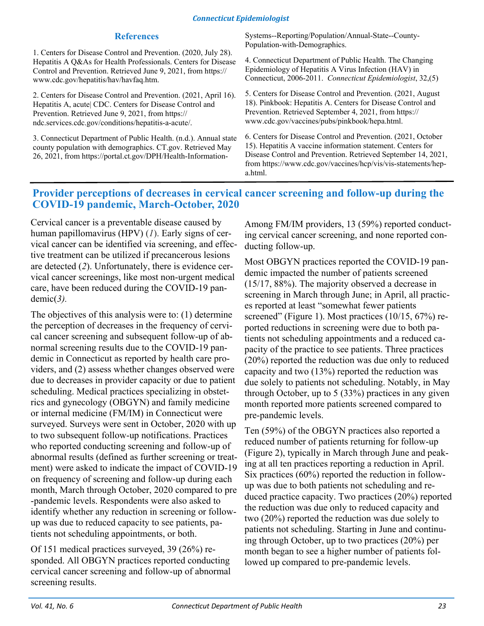#### **References**

1. Centers for Disease Control and Prevention. (2020, July 28). Hepatitis A Q&As for Health Professionals. Centers for Disease Control and Prevention. Retrieved June 9, 2021, from https:// www.cdc.gov/hepatitis/hav/havfaq.htm.

2. Centers for Disease Control and Prevention. (2021, April 16). Hepatitis A, acute| CDC. Centers for Disease Control and Prevention. Retrieved June 9, 2021, from https:// ndc.services.cdc.gov/conditions/hepatitis-a-acute/.

3. Connecticut Department of Public Health. (n.d.). Annual state county population with demographics. CT.gov. Retrieved May 26, 2021, from https://portal.ct.gov/DPH/Health-InformationSystems--Reporting/Population/Annual-State--County-Population-with-Demographics.

4. Connecticut Department of Public Health. The Changing Epidemiology of Hepatitis A Virus Infection (HAV) in Connecticut, 2006-2011. *Connecticut Epidemiologist*, 32,(5)

5. Centers for Disease Control and Prevention. (2021, August 18). Pinkbook: Hepatitis A. Centers for Disease Control and Prevention. Retrieved September 4, 2021, from https:// www.cdc.gov/vaccines/pubs/pinkbook/hepa.html.

6. Centers for Disease Control and Prevention. (2021, October 15). Hepatitis A vaccine information statement. Centers for Disease Control and Prevention. Retrieved September 14, 2021, from https://www.cdc.gov/vaccines/hcp/vis/vis-statements/hepa.html.

# **Provider perceptions of decreases in cervical cancer screening and follow-up during the COVID-19 pandemic, March-October, 2020**

Cervical cancer is a preventable disease caused by human papillomavirus (HPV) (*1*). Early signs of cervical cancer can be identified via screening, and effective treatment can be utilized if precancerous lesions are detected (*2*). Unfortunately, there is evidence cervical cancer screenings, like most non-urgent medical care, have been reduced during the COVID-19 pandemic(*3).* 

The objectives of this analysis were to: (1) determine the perception of decreases in the frequency of cervical cancer screening and subsequent follow-up of abnormal screening results due to the COVID-19 pandemic in Connecticut as reported by health care providers, and (2) assess whether changes observed were due to decreases in provider capacity or due to patient scheduling. Medical practices specializing in obstetrics and gynecology (OBGYN) and family medicine or internal medicine (FM/IM) in Connecticut were surveyed. Surveys were sent in October, 2020 with up to two subsequent follow-up notifications. Practices who reported conducting screening and follow-up of abnormal results (defined as further screening or treatment) were asked to indicate the impact of COVID-19 on frequency of screening and follow-up during each month, March through October, 2020 compared to pre -pandemic levels. Respondents were also asked to identify whether any reduction in screening or followup was due to reduced capacity to see patients, patients not scheduling appointments, or both.

Of 151 medical practices surveyed, 39 (26%) responded. All OBGYN practices reported conducting cervical cancer screening and follow-up of abnormal screening results.

Among FM/IM providers, 13 (59%) reported conducting cervical cancer screening, and none reported conducting follow-up.

Most OBGYN practices reported the COVID-19 pandemic impacted the number of patients screened (15/17, 88%). The majority observed a decrease in screening in March through June; in April, all practices reported at least "somewhat fewer patients screened" (Figure 1). Most practices (10/15, 67%) reported reductions in screening were due to both patients not scheduling appointments and a reduced capacity of the practice to see patients. Three practices (20%) reported the reduction was due only to reduced capacity and two (13%) reported the reduction was due solely to patients not scheduling. Notably, in May through October, up to 5 (33%) practices in any given month reported more patients screened compared to pre-pandemic levels.

Ten (59%) of the OBGYN practices also reported a reduced number of patients returning for follow-up (Figure 2), typically in March through June and peaking at all ten practices reporting a reduction in April. Six practices (60%) reported the reduction in followup was due to both patients not scheduling and reduced practice capacity. Two practices (20%) reported the reduction was due only to reduced capacity and two (20%) reported the reduction was due solely to patients not scheduling. Starting in June and continuing through October, up to two practices (20%) per month began to see a higher number of patients followed up compared to pre-pandemic levels.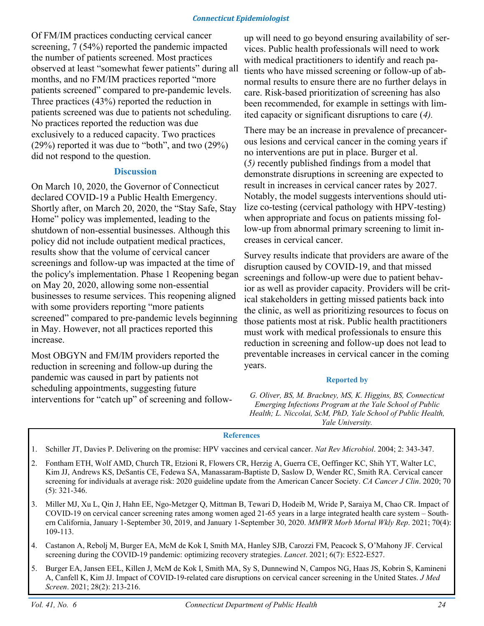Of FM/IM practices conducting cervical cancer screening, 7 (54%) reported the pandemic impacted the number of patients screened. Most practices observed at least "somewhat fewer patients" during all months, and no FM/IM practices reported "more patients screened" compared to pre-pandemic levels. Three practices (43%) reported the reduction in patients screened was due to patients not scheduling. No practices reported the reduction was due exclusively to a reduced capacity. Two practices (29%) reported it was due to "both", and two (29%) did not respond to the question.

#### **Discussion**

On March 10, 2020, the Governor of Connecticut declared COVID-19 a Public Health Emergency. Shortly after, on March 20, 2020, the "Stay Safe, Stay Home" policy was implemented, leading to the shutdown of non-essential businesses. Although this policy did not include outpatient medical practices, results show that the volume of cervical cancer screenings and follow-up was impacted at the time of the policy's implementation. Phase 1 Reopening began on May 20, 2020, allowing some non-essential businesses to resume services. This reopening aligned with some providers reporting "more patients" screened" compared to pre-pandemic levels beginning in May. However, not all practices reported this increase.

Most OBGYN and FM/IM providers reported the reduction in screening and follow-up during the pandemic was caused in part by patients not scheduling appointments, suggesting future interventions for "catch up" of screening and followup will need to go beyond ensuring availability of services. Public health professionals will need to work with medical practitioners to identify and reach patients who have missed screening or follow-up of abnormal results to ensure there are no further delays in care. Risk-based prioritization of screening has also been recommended, for example in settings with limited capacity or significant disruptions to care (*4).* 

There may be an increase in prevalence of precancerous lesions and cervical cancer in the coming years if no interventions are put in place. Burger et al. (*5)* recently published findings from a model that demonstrate disruptions in screening are expected to result in increases in cervical cancer rates by 2027. Notably, the model suggests interventions should utilize co-testing (cervical pathology with HPV-testing) when appropriate and focus on patients missing follow-up from abnormal primary screening to limit increases in cervical cancer.

Survey results indicate that providers are aware of the disruption caused by COVID-19, and that missed screenings and follow-up were due to patient behavior as well as provider capacity. Providers will be critical stakeholders in getting missed patients back into the clinic, as well as prioritizing resources to focus on those patients most at risk. Public health practitioners must work with medical professionals to ensure this reduction in screening and follow-up does not lead to preventable increases in cervical cancer in the coming years.

#### **Reported by**

*G. Oliver, BS, M. Brackney, MS, K. Higgins, BS, Connecticut Emerging Infections Program at the Yale School of Public Health; L. Niccolai, ScM, PhD, Yale School of Public Health, Yale University.*

#### **References**

1. Schiller JT, Davies P. Delivering on the promise: HPV vaccines and cervical cancer. *Nat Rev Microbiol*. 2004; 2: 343-347.

- 2. Fontham ETH, Wolf AMD, Church TR, Etzioni R, Flowers CR, Herzig A, Guerra CE, Oeffinger KC, Shih YT, Walter LC, Kim JJ, Andrews KS, DeSantis CE, Fedewa SA, Manassaram-Baptiste D, Saslow D, Wender RC, Smith RA. Cervical cancer screening for individuals at average risk: 2020 guideline update from the American Cancer Society. *CA Cancer J Clin*. 2020; 70 (5): 321-346.
- 3. Miller MJ, Xu L, Qin J, Hahn EE, Ngo-Metzger Q, Mittman B, Tewari D, Hodeib M, Wride P, Saraiya M, Chao CR. Impact of COVID-19 on cervical cancer screening rates among women aged 21-65 years in a large integrated health care system – Southern California, January 1-September 30, 2019, and January 1-September 30, 2020. *MMWR Morb Mortal Wkly Rep*. 2021; 70(4): 109-113.
- 4. Castanon A, Rebolj M, Burger EA, McM de Kok I, Smith MA, Hanley SJB, Carozzi FM, Peacock S, O'Mahony JF. Cervical screening during the COVID-19 pandemic: optimizing recovery strategies. *Lancet*. 2021; 6(7): E522-E527.
- 5. Burger EA, Jansen EEL, Killen J, McM de Kok I, Smith MA, Sy S, Dunnewind N, Campos NG, Haas JS, Kobrin S, Kamineni A, Canfell K, Kim JJ. Impact of COVID-19-related care disruptions on cervical cancer screening in the United States. *J Med Screen*. 2021; 28(2): 213-216.